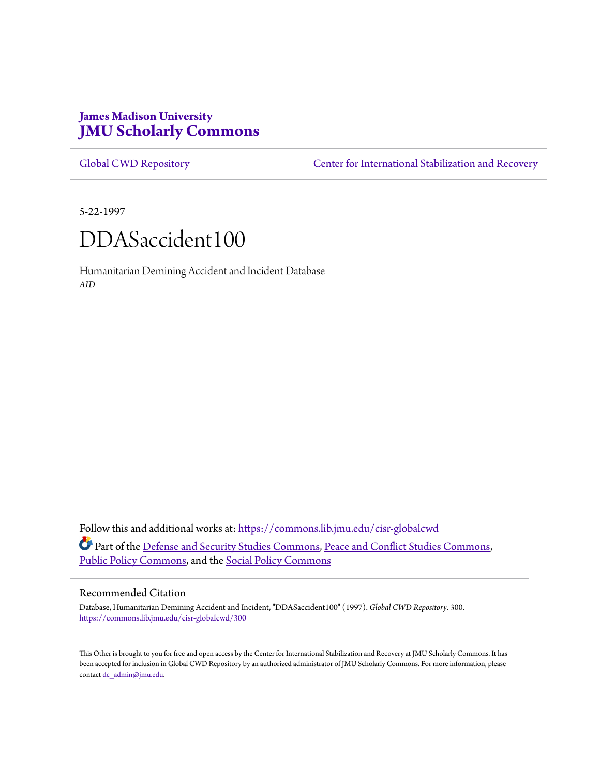# **James Madison University [JMU Scholarly Commons](https://commons.lib.jmu.edu?utm_source=commons.lib.jmu.edu%2Fcisr-globalcwd%2F300&utm_medium=PDF&utm_campaign=PDFCoverPages)**

[Global CWD Repository](https://commons.lib.jmu.edu/cisr-globalcwd?utm_source=commons.lib.jmu.edu%2Fcisr-globalcwd%2F300&utm_medium=PDF&utm_campaign=PDFCoverPages) **[Center for International Stabilization and Recovery](https://commons.lib.jmu.edu/cisr?utm_source=commons.lib.jmu.edu%2Fcisr-globalcwd%2F300&utm_medium=PDF&utm_campaign=PDFCoverPages)** 

5-22-1997

# DDASaccident100

Humanitarian Demining Accident and Incident Database *AID*

Follow this and additional works at: [https://commons.lib.jmu.edu/cisr-globalcwd](https://commons.lib.jmu.edu/cisr-globalcwd?utm_source=commons.lib.jmu.edu%2Fcisr-globalcwd%2F300&utm_medium=PDF&utm_campaign=PDFCoverPages) Part of the [Defense and Security Studies Commons](http://network.bepress.com/hgg/discipline/394?utm_source=commons.lib.jmu.edu%2Fcisr-globalcwd%2F300&utm_medium=PDF&utm_campaign=PDFCoverPages), [Peace and Conflict Studies Commons](http://network.bepress.com/hgg/discipline/397?utm_source=commons.lib.jmu.edu%2Fcisr-globalcwd%2F300&utm_medium=PDF&utm_campaign=PDFCoverPages), [Public Policy Commons,](http://network.bepress.com/hgg/discipline/400?utm_source=commons.lib.jmu.edu%2Fcisr-globalcwd%2F300&utm_medium=PDF&utm_campaign=PDFCoverPages) and the [Social Policy Commons](http://network.bepress.com/hgg/discipline/1030?utm_source=commons.lib.jmu.edu%2Fcisr-globalcwd%2F300&utm_medium=PDF&utm_campaign=PDFCoverPages)

#### Recommended Citation

Database, Humanitarian Demining Accident and Incident, "DDASaccident100" (1997). *Global CWD Repository*. 300. [https://commons.lib.jmu.edu/cisr-globalcwd/300](https://commons.lib.jmu.edu/cisr-globalcwd/300?utm_source=commons.lib.jmu.edu%2Fcisr-globalcwd%2F300&utm_medium=PDF&utm_campaign=PDFCoverPages)

This Other is brought to you for free and open access by the Center for International Stabilization and Recovery at JMU Scholarly Commons. It has been accepted for inclusion in Global CWD Repository by an authorized administrator of JMU Scholarly Commons. For more information, please contact [dc\\_admin@jmu.edu.](mailto:dc_admin@jmu.edu)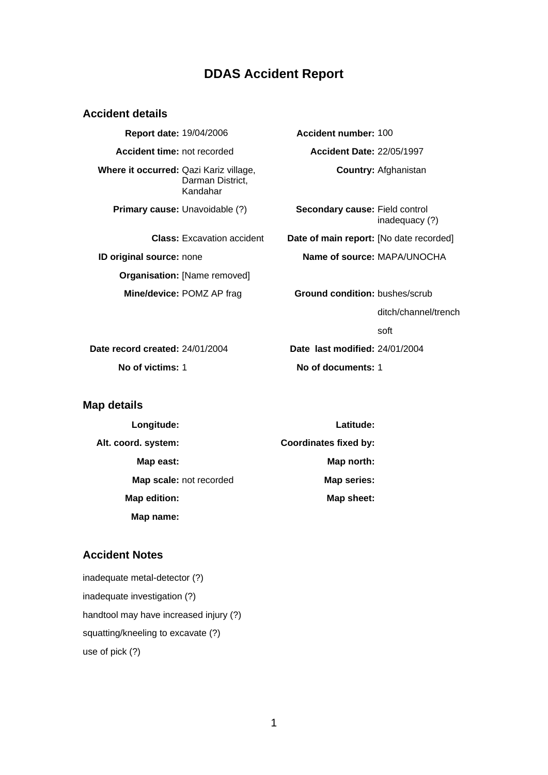## **DDAS Accident Report**

#### **Accident details**

**Report date:** 19/04/2006 **Accident number:** 100 **Accident time:** not recorded **Accident Date:** 22/05/1997 **Where it occurred:** Qazi Kariz village, Darman District, Kandahar **Country:** Afghanistan **Primary cause:** Unavoidable (?) **Secondary cause:** Field control inadequacy (?) **Class:** Excavation accident **Date of main report:** [No date recorded] **ID original source:** none **Name of source:** MAPA/UNOCHA **Organisation:** [Name removed] **Mine/device:** POMZ AP frag **Ground condition:** bushes/scrub ditch/channel/trench soft

**Date record created:** 24/01/2004 **Date last modified:** 24/01/2004 **No of victims:** 1 **No of documents:** 1

**Map details** 

| Longitude:              | Latitude:                    |
|-------------------------|------------------------------|
| Alt. coord. system:     | <b>Coordinates fixed by:</b> |
| Map east:               | Map north:                   |
| Map scale: not recorded | Map series:                  |
| Map edition:            | Map sheet:                   |
| Map name:               |                              |

### **Accident Notes**

inadequate metal-detector (?) inadequate investigation (?) handtool may have increased injury (?) squatting/kneeling to excavate (?) use of pick (?)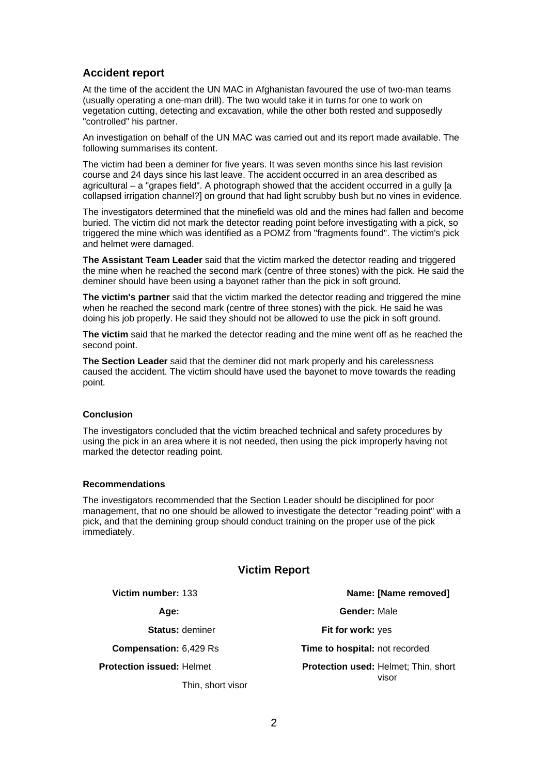## **Accident report**

At the time of the accident the UN MAC in Afghanistan favoured the use of two-man teams (usually operating a one-man drill). The two would take it in turns for one to work on vegetation cutting, detecting and excavation, while the other both rested and supposedly "controlled" his partner.

An investigation on behalf of the UN MAC was carried out and its report made available. The following summarises its content.

The victim had been a deminer for five years. It was seven months since his last revision course and 24 days since his last leave. The accident occurred in an area described as agricultural – a "grapes field". A photograph showed that the accident occurred in a gully [a collapsed irrigation channel?] on ground that had light scrubby bush but no vines in evidence.

The investigators determined that the minefield was old and the mines had fallen and become buried. The victim did not mark the detector reading point before investigating with a pick, so triggered the mine which was identified as a POMZ from "fragments found". The victim's pick and helmet were damaged.

**The Assistant Team Leader** said that the victim marked the detector reading and triggered the mine when he reached the second mark (centre of three stones) with the pick. He said the deminer should have been using a bayonet rather than the pick in soft ground.

**The victim's partner** said that the victim marked the detector reading and triggered the mine when he reached the second mark (centre of three stones) with the pick. He said he was doing his job properly. He said they should not be allowed to use the pick in soft ground.

**The victim** said that he marked the detector reading and the mine went off as he reached the second point.

**The Section Leader** said that the deminer did not mark properly and his carelessness caused the accident. The victim should have used the bayonet to move towards the reading point.

#### **Conclusion**

The investigators concluded that the victim breached technical and safety procedures by using the pick in an area where it is not needed, then using the pick improperly having not marked the detector reading point.

#### **Recommendations**

The investigators recommended that the Section Leader should be disciplined for poor management, that no one should be allowed to investigate the detector "reading point" with a pick, and that the demining group should conduct training on the proper use of the pick immediately.

#### **Victim Report**

**Protection issued:** Helmet

Thin, short visor

**Victim number:** 133 **Name: [Name removed]**

**Age: Gender:** Male

**Status:** deminer **Fit for work:** yes

**Compensation:** 6,429 Rs **Time to hospital:** not recorded

**Protection used:** Helmet; Thin, short visor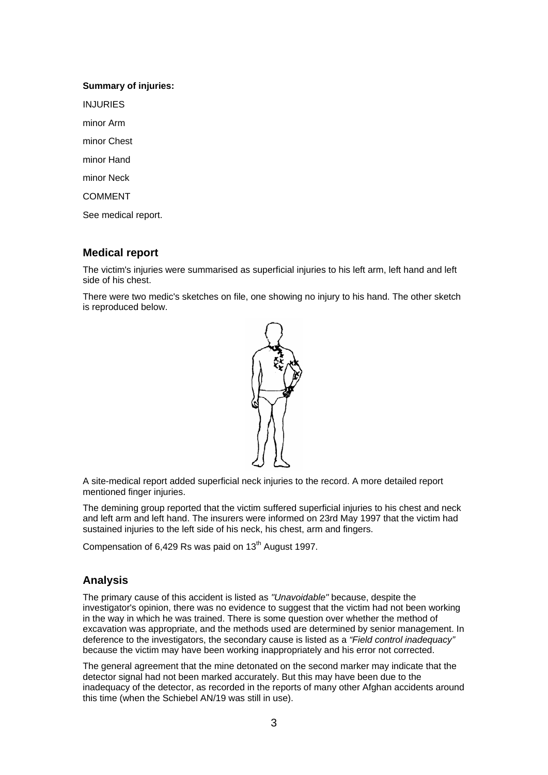#### **Summary of injuries:**

INJURIES

minor Arm

minor Chest

minor Hand

minor Neck

COMMENT

See medical report.

## **Medical report**

The victim's injuries were summarised as superficial injuries to his left arm, left hand and left side of his chest.

There were two medic's sketches on file, one showing no injury to his hand. The other sketch is reproduced below.



A site-medical report added superficial neck injuries to the record. A more detailed report mentioned finger injuries.

The demining group reported that the victim suffered superficial injuries to his chest and neck and left arm and left hand. The insurers were informed on 23rd May 1997 that the victim had sustained injuries to the left side of his neck, his chest, arm and fingers.

Compensation of  $6,429$  Rs was paid on  $13<sup>th</sup>$  August 1997.

## **Analysis**

The primary cause of this accident is listed as *"Unavoidable"* because, despite the investigator's opinion, there was no evidence to suggest that the victim had not been working in the way in which he was trained. There is some question over whether the method of excavation was appropriate, and the methods used are determined by senior management. In deference to the investigators, the secondary cause is listed as a *"Field control inadequacy"* because the victim may have been working inappropriately and his error not corrected.

The general agreement that the mine detonated on the second marker may indicate that the detector signal had not been marked accurately. But this may have been due to the inadequacy of the detector, as recorded in the reports of many other Afghan accidents around this time (when the Schiebel AN/19 was still in use).